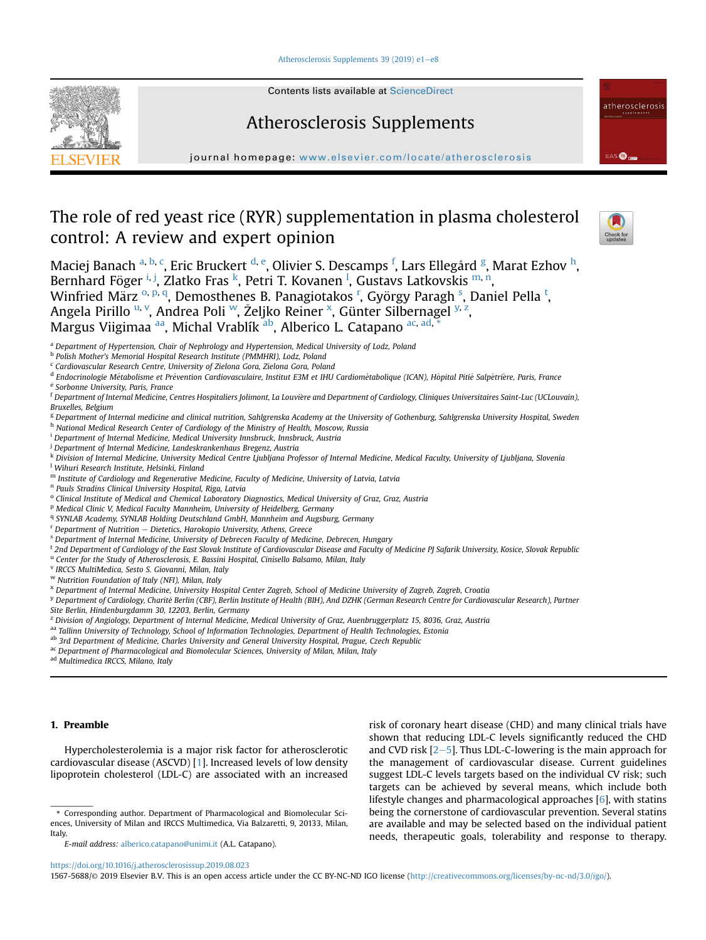[Atherosclerosis Supplements 39 \(2019\) e1](https://doi.org/10.1016/j.atherosclerosissup.2019.08.023)-[e8](https://doi.org/10.1016/j.atherosclerosissup.2019.08.023)



Contents lists available at [ScienceDirect](www.sciencedirect.com/science/journal/15675688)

# Atherosclerosis Supplements

journal homepage: <www.elsevier.com/locate/atherosclerosis>

# The role of red yeast rice (RYR) supplementation in plasma cholesterol control: A review and expert opinion



EAS **O** 

atherosclerosis

Maciej Banach <sup>a, b, c</sup>, Eric Bruckert <sup>d, e</sup>, Olivier S. Descamps <sup>f</sup>, Lars Ellegård <sup>g</sup>, Marat Ezhov <sup>h</sup>, Bernhard Föger <sup>i, j</sup>, Zlatko Fras <sup>k</sup>, Petri T. Kovanen <sup>l</sup>, Gustavs Latkovskis <sup>m, n</sup>, Winfried März <sup>o, p, q</sup>, Demosthenes B. Panagiotakos <sup>r</sup>, György Paragh <sup>s</sup>, Daniel Pella <sup>t</sup>, Angela Pirillo <sup>u, v</sup>, Andrea Poli <sup>w</sup>, Željko Reiner <sup>x</sup>, Günter Silbernagel <sup>y, z</sup>, Margus Viigimaa aa, Michal Vrablík ab, Alberico L. Catapano ac, ad,

<sup>a</sup> Department of Hypertension, Chair of Nephrology and Hypertension, Medical University of Lodz, Poland

h National Medical Research Center of Cardiology of the Ministry of Health, Moscow, Russia

- <sup>i</sup> Department of Internal Medicine, Medical University Innsbruck, Innsbruck, Austria
- <sup>j</sup> Department of Internal Medicine, Landeskrankenhaus Bregenz, Austria
- k Division of Internal Medicine, University Medical Centre Ljubljana Professor of Internal Medicine, Medical Faculty, University of Ljubljana, Slovenia <sup>l</sup> Wihuri Research Institute, Helsinki, Finland
- m Institute of Cardiology and Regenerative Medicine, Faculty of Medicine, University of Latvia, Latvia
- <sup>n</sup> Pauls Stradins Clinical University Hospital, Riga, Latvia
- <sup>o</sup> Clinical Institute of Medical and Chemical Laboratory Diagnostics, Medical University of Graz, Graz, Austria
- <sup>p</sup> Medical Clinic V, Medical Faculty Mannheim, University of Heidelberg, Germany
- <sup>q</sup> SYNLAB Academy, SYNLAB Holding Deutschland GmbH, Mannheim and Augsburg, Germany
- $r$  Department of Nutrition  $-$  Dietetics, Harokopio University, Athens, Greece
- <sup>s</sup> Department of Internal Medicine, University of Debrecen Faculty of Medicine, Debrecen, Hungary
- t 2nd Department of Cardiology of the East Slovak Institute of Cardiovascular Disease and Faculty of Medicine PJ Safarik University, Kosice, Slovak Republic
- <sup>u</sup> Center for the Study of Atherosclerosis, E. Bassini Hospital, Cinisello Balsamo, Milan, Italy
- <sup>v</sup> IRCCS MultiMedica, Sesto S. Giovanni, Milan, Italy
- <sup>w</sup> Nutrition Foundation of Italy (NFI), Milan, Italy

- <sup>y</sup> Department of Cardiology, Charite Berlin (CBF), Berlin Institute of Health (BIH), And DZHK (German Research Centre for Cardiovascular Research), Partner
- Site Berlin, Hindenburgdamm 30, 12203, Berlin, Germany
- <sup>z</sup> Division of Angiology, Department of Internal Medicine, Medical University of Graz, Auenbruggerplatz 15, 8036, Graz, Austria
- aa Tallinn University of Technology, School of Information Technologies, Department of Health Technologies, Estonia
- ab 3rd Department of Medicine, Charles University and General University Hospital, Prague, Czech Republic
- ac Department of Pharmacological and Biomolecular Sciences, University of Milan, Milan, Italy

ad Multimedica IRCCS, Milano, Italy

# 1. Preamble

Hypercholesterolemia is a major risk factor for atherosclerotic cardiovascular disease (ASCVD) [[1\]](#page-6-0). Increased levels of low density lipoprotein cholesterol (LDL-C) are associated with an increased risk of coronary heart disease (CHD) and many clinical trials have shown that reducing LDL-C levels significantly reduced the CHD and CVD risk  $[2-5]$  $[2-5]$  $[2-5]$  $[2-5]$  $[2-5]$ . Thus LDL-C-lowering is the main approach for the management of cardiovascular disease. Current guidelines suggest LDL-C levels targets based on the individual CV risk; such targets can be achieved by several means, which include both lifestyle changes and pharmacological approaches [[6\]](#page-6-0), with statins being the cornerstone of cardiovascular prevention. Several statins are available and may be selected based on the individual patient needs, therapeutic goals, tolerability and response to therapy.

<https://doi.org/10.1016/j.atherosclerosissup.2019.08.023>

b Polish Mother's Memorial Hospital Research Institute (PMMHRI), Lodz, Poland

<sup>c</sup> Cardiovascular Research Centre, University of Zielona Gora, Zielona Gora, Poland

<sup>&</sup>lt;sup>d</sup> Endocrinologie Métabolisme et Prévention Cardiovasculaire, Institut E3M et IHU Cardiométabolique (ICAN), Hôpital Pitié Salpêtrière, Paris, France

<sup>e</sup> Sorbonne University, Paris, France

<sup>f</sup> Department of Internal Medicine, Centres Hospitaliers Jolimont, La Louviere and Department of Cardiology, Cliniques Universitaires Saint-Luc (UCLouvain), Bruxelles, Belgium

<sup>&</sup>lt;sup>g</sup> Department of Internal medicine and clinical nutrition, Sahlgrenska Academy at the University of Gothenburg, Sahlgrenska University Hospital, Sweden

<sup>x</sup> Department of Internal Medicine, University Hospital Center Zagreb, School of Medicine University of Zagreb, Zagreb, Croatia

<sup>\*</sup> Corresponding author. Department of Pharmacological and Biomolecular Sciences, University of Milan and IRCCS Multimedica, Via Balzaretti, 9, 20133, Milan, Italy.

E-mail address: [alberico.catapano@unimi.it](mailto:alberico.catapano@unimi.it) (A.L. Catapano).

<sup>1567-5688/</sup>© 2019 Elsevier B.V. This is an open access article under the CC BY-NC-ND IGO license [\(http://creativecommons.org/licenses/by-nc-nd/3.0/igo/\)](http://creativecommons.org/licenses/by-nc-nd/3.0/igo/).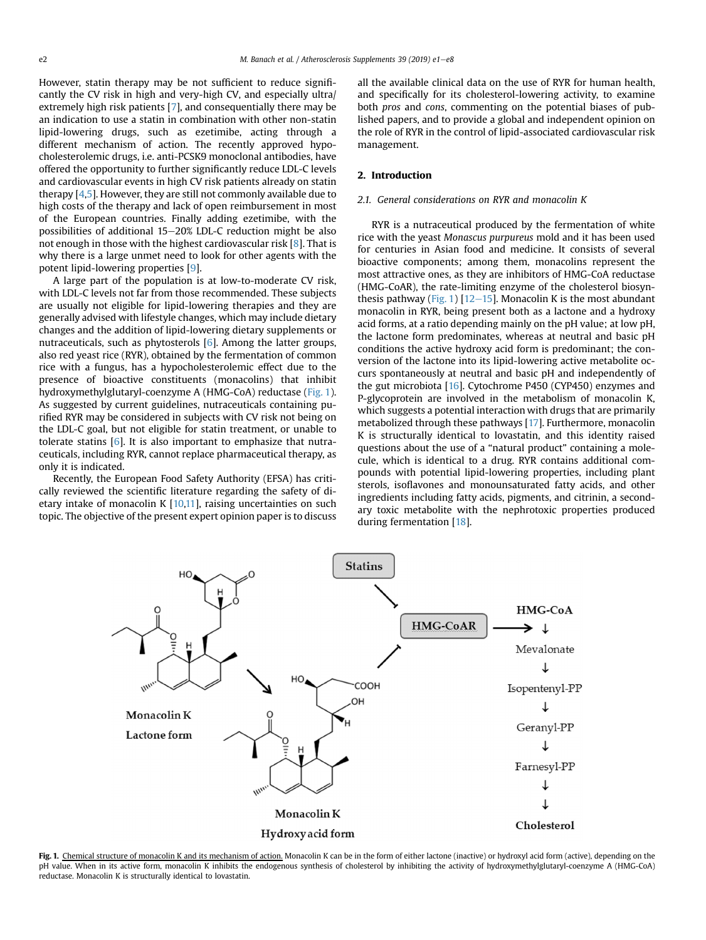However, statin therapy may be not sufficient to reduce significantly the CV risk in high and very-high CV, and especially ultra/ extremely high risk patients [\[7](#page-6-0)], and consequentially there may be an indication to use a statin in combination with other non-statin lipid-lowering drugs, such as ezetimibe, acting through a different mechanism of action. The recently approved hypocholesterolemic drugs, i.e. anti-PCSK9 monoclonal antibodies, have offered the opportunity to further significantly reduce LDL-C levels and cardiovascular events in high CV risk patients already on statin therapy [[4,5\]](#page-6-0). However, they are still not commonly available due to high costs of the therapy and lack of open reimbursement in most of the European countries. Finally adding ezetimibe, with the possibilities of additional  $15-20\%$  LDL-C reduction might be also not enough in those with the highest cardiovascular risk [[8](#page-6-0)]. That is why there is a large unmet need to look for other agents with the potent lipid-lowering properties [[9](#page-6-0)].

A large part of the population is at low-to-moderate CV risk, with LDL-C levels not far from those recommended. These subjects are usually not eligible for lipid-lowering therapies and they are generally advised with lifestyle changes, which may include dietary changes and the addition of lipid-lowering dietary supplements or nutraceuticals, such as phytosterols [[6](#page-6-0)]. Among the latter groups, also red yeast rice (RYR), obtained by the fermentation of common rice with a fungus, has a hypocholesterolemic effect due to the presence of bioactive constituents (monacolins) that inhibit hydroxymethylglutaryl-coenzyme A (HMG-CoA) reductase (Fig. 1). As suggested by current guidelines, nutraceuticals containing purified RYR may be considered in subjects with CV risk not being on the LDL-C goal, but not eligible for statin treatment, or unable to tolerate statins [\[6](#page-6-0)]. It is also important to emphasize that nutraceuticals, including RYR, cannot replace pharmaceutical therapy, as only it is indicated.

Recently, the European Food Safety Authority (EFSA) has critically reviewed the scientific literature regarding the safety of dietary intake of monacolin K  $[10,11]$  $[10,11]$ , raising uncertainties on such topic. The objective of the present expert opinion paper is to discuss all the available clinical data on the use of RYR for human health, and specifically for its cholesterol-lowering activity, to examine both pros and cons, commenting on the potential biases of published papers, and to provide a global and independent opinion on the role of RYR in the control of lipid-associated cardiovascular risk management.

## 2. Introduction

## 2.1. General considerations on RYR and monacolin K

RYR is a nutraceutical produced by the fermentation of white rice with the yeast Monascus purpureus mold and it has been used for centuries in Asian food and medicine. It consists of several bioactive components; among them, monacolins represent the most attractive ones, as they are inhibitors of HMG-CoA reductase (HMG-CoAR), the rate-limiting enzyme of the cholesterol biosynthesis pathway (Fig. 1)  $[12-15]$  $[12-15]$  $[12-15]$  $[12-15]$ . Monacolin K is the most abundant monacolin in RYR, being present both as a lactone and a hydroxy acid forms, at a ratio depending mainly on the pH value; at low pH, the lactone form predominates, whereas at neutral and basic pH conditions the active hydroxy acid form is predominant; the conversion of the lactone into its lipid-lowering active metabolite occurs spontaneously at neutral and basic pH and independently of the gut microbiota [\[16](#page-7-0)]. Cytochrome P450 (CYP450) enzymes and P-glycoprotein are involved in the metabolism of monacolin K, which suggests a potential interaction with drugs that are primarily metabolized through these pathways [[17\]](#page-7-0). Furthermore, monacolin K is structurally identical to lovastatin, and this identity raised questions about the use of a "natural product" containing a molecule, which is identical to a drug. RYR contains additional compounds with potential lipid-lowering properties, including plant sterols, isoflavones and monounsaturated fatty acids, and other ingredients including fatty acids, pigments, and citrinin, a secondary toxic metabolite with the nephrotoxic properties produced during fermentation [\[18](#page-7-0)].



Fig. 1. Chemical structure of monacolin K and its mechanism of action. Monacolin K can be in the form of either lactone (inactive) or hydroxyl acid form (active), depending on the pH value. When in its active form, monacolin K inhibits the endogenous synthesis of cholesterol by inhibiting the activity of hydroxymethylglutaryl-coenzyme A (HMG-CoA) reductase. Monacolin K is structurally identical to lovastatin.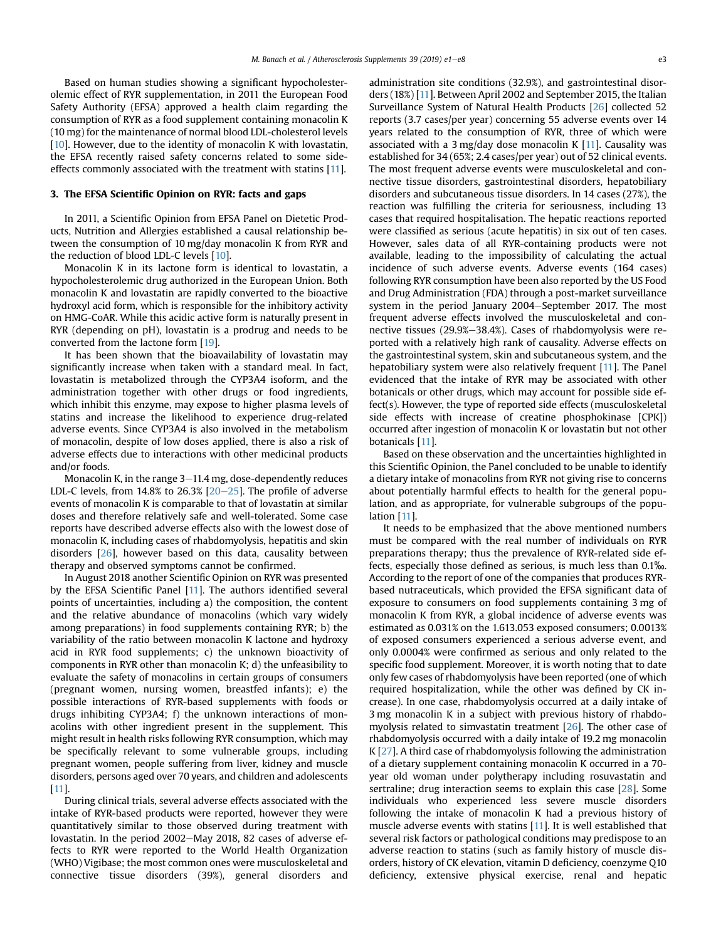Based on human studies showing a significant hypocholesterolemic effect of RYR supplementation, in 2011 the European Food Safety Authority (EFSA) approved a health claim regarding the consumption of RYR as a food supplement containing monacolin K (10 mg) for the maintenance of normal blood LDL-cholesterol levels [\[10](#page-7-0)]. However, due to the identity of monacolin K with lovastatin, the EFSA recently raised safety concerns related to some sideeffects commonly associated with the treatment with statins [[11](#page-7-0)].

# 3. The EFSA Scientific Opinion on RYR: facts and gaps

In 2011, a Scientific Opinion from EFSA Panel on Dietetic Products, Nutrition and Allergies established a causal relationship between the consumption of 10 mg/day monacolin K from RYR and the reduction of blood LDL-C levels [[10](#page-7-0)].

Monacolin K in its lactone form is identical to lovastatin, a hypocholesterolemic drug authorized in the European Union. Both monacolin K and lovastatin are rapidly converted to the bioactive hydroxyl acid form, which is responsible for the inhibitory activity on HMG-CoAR. While this acidic active form is naturally present in RYR (depending on pH), lovastatin is a prodrug and needs to be converted from the lactone form [[19\]](#page-7-0).

It has been shown that the bioavailability of lovastatin may significantly increase when taken with a standard meal. In fact, lovastatin is metabolized through the CYP3A4 isoform, and the administration together with other drugs or food ingredients, which inhibit this enzyme, may expose to higher plasma levels of statins and increase the likelihood to experience drug-related adverse events. Since CYP3A4 is also involved in the metabolism of monacolin, despite of low doses applied, there is also a risk of adverse effects due to interactions with other medicinal products and/or foods.

Monacolin K, in the range  $3-11.4$  mg, dose-dependently reduces LDL-C levels, from  $14.8\%$  to  $26.3\%$   $[20-25]$  $[20-25]$  $[20-25]$  $[20-25]$ . The profile of adverse events of monacolin K is comparable to that of lovastatin at similar doses and therefore relatively safe and well-tolerated. Some case reports have described adverse effects also with the lowest dose of monacolin K, including cases of rhabdomyolysis, hepatitis and skin disorders [\[26\]](#page-7-0), however based on this data, causality between therapy and observed symptoms cannot be confirmed.

In August 2018 another Scientific Opinion on RYR was presented by the EFSA Scientific Panel [\[11\]](#page-7-0). The authors identified several points of uncertainties, including a) the composition, the content and the relative abundance of monacolins (which vary widely among preparations) in food supplements containing RYR; b) the variability of the ratio between monacolin K lactone and hydroxy acid in RYR food supplements; c) the unknown bioactivity of components in RYR other than monacolin K; d) the unfeasibility to evaluate the safety of monacolins in certain groups of consumers (pregnant women, nursing women, breastfed infants); e) the possible interactions of RYR-based supplements with foods or drugs inhibiting CYP3A4; f) the unknown interactions of monacolins with other ingredient present in the supplement. This might result in health risks following RYR consumption, which may be specifically relevant to some vulnerable groups, including pregnant women, people suffering from liver, kidney and muscle disorders, persons aged over 70 years, and children and adolescents [\[11](#page-7-0)].

During clinical trials, several adverse effects associated with the intake of RYR-based products were reported, however they were quantitatively similar to those observed during treatment with lovastatin. In the period 2002–May 2018, 82 cases of adverse effects to RYR were reported to the World Health Organization (WHO) Vigibase; the most common ones were musculoskeletal and connective tissue disorders (39%), general disorders and administration site conditions (32.9%), and gastrointestinal disorders (18%) [\[11\]](#page-7-0). Between April 2002 and September 2015, the Italian Surveillance System of Natural Health Products [\[26\]](#page-7-0) collected 52 reports (3.7 cases/per year) concerning 55 adverse events over 14 years related to the consumption of RYR, three of which were associated with a 3 mg/day dose monacolin K [\[11\]](#page-7-0). Causality was established for 34 (65%; 2.4 cases/per year) out of 52 clinical events. The most frequent adverse events were musculoskeletal and connective tissue disorders, gastrointestinal disorders, hepatobiliary disorders and subcutaneous tissue disorders. In 14 cases (27%), the reaction was fulfilling the criteria for seriousness, including 13 cases that required hospitalisation. The hepatic reactions reported were classified as serious (acute hepatitis) in six out of ten cases. However, sales data of all RYR-containing products were not available, leading to the impossibility of calculating the actual incidence of such adverse events. Adverse events (164 cases) following RYR consumption have been also reported by the US Food and Drug Administration (FDA) through a post-market surveillance system in the period January 2004–September 2017. The most frequent adverse effects involved the musculoskeletal and connective tissues (29.9%-38.4%). Cases of rhabdomyolysis were reported with a relatively high rank of causality. Adverse effects on the gastrointestinal system, skin and subcutaneous system, and the hepatobiliary system were also relatively frequent [[11\]](#page-7-0). The Panel evidenced that the intake of RYR may be associated with other botanicals or other drugs, which may account for possible side effect(s). However, the type of reported side effects (musculoskeletal side effects with increase of creatine phosphokinase [CPK]) occurred after ingestion of monacolin K or lovastatin but not other botanicals [\[11\]](#page-7-0).

Based on these observation and the uncertainties highlighted in this Scientific Opinion, the Panel concluded to be unable to identify a dietary intake of monacolins from RYR not giving rise to concerns about potentially harmful effects to health for the general population, and as appropriate, for vulnerable subgroups of the population [[11](#page-7-0)].

It needs to be emphasized that the above mentioned numbers must be compared with the real number of individuals on RYR preparations therapy; thus the prevalence of RYR-related side effects, especially those defined as serious, is much less than 0.1‰. According to the report of one of the companies that produces RYRbased nutraceuticals, which provided the EFSA significant data of exposure to consumers on food supplements containing 3 mg of monacolin K from RYR, a global incidence of adverse events was estimated as 0.031% on the 1.613.053 exposed consumers; 0.0013% of exposed consumers experienced a serious adverse event, and only 0.0004% were confirmed as serious and only related to the specific food supplement. Moreover, it is worth noting that to date only few cases of rhabdomyolysis have been reported (one of which required hospitalization, while the other was defined by CK increase). In one case, rhabdomyolysis occurred at a daily intake of 3 mg monacolin K in a subject with previous history of rhabdomyolysis related to simvastatin treatment [\[26\]](#page-7-0). The other case of rhabdomyolysis occurred with a daily intake of 19.2 mg monacolin K [[27](#page-7-0)]. A third case of rhabdomyolysis following the administration of a dietary supplement containing monacolin K occurred in a 70 year old woman under polytherapy including rosuvastatin and sertraline; drug interaction seems to explain this case [\[28\]](#page-7-0). Some individuals who experienced less severe muscle disorders following the intake of monacolin K had a previous history of muscle adverse events with statins [\[11](#page-7-0)]. It is well established that several risk factors or pathological conditions may predispose to an adverse reaction to statins (such as family history of muscle disorders, history of CK elevation, vitamin D deficiency, coenzyme Q10 deficiency, extensive physical exercise, renal and hepatic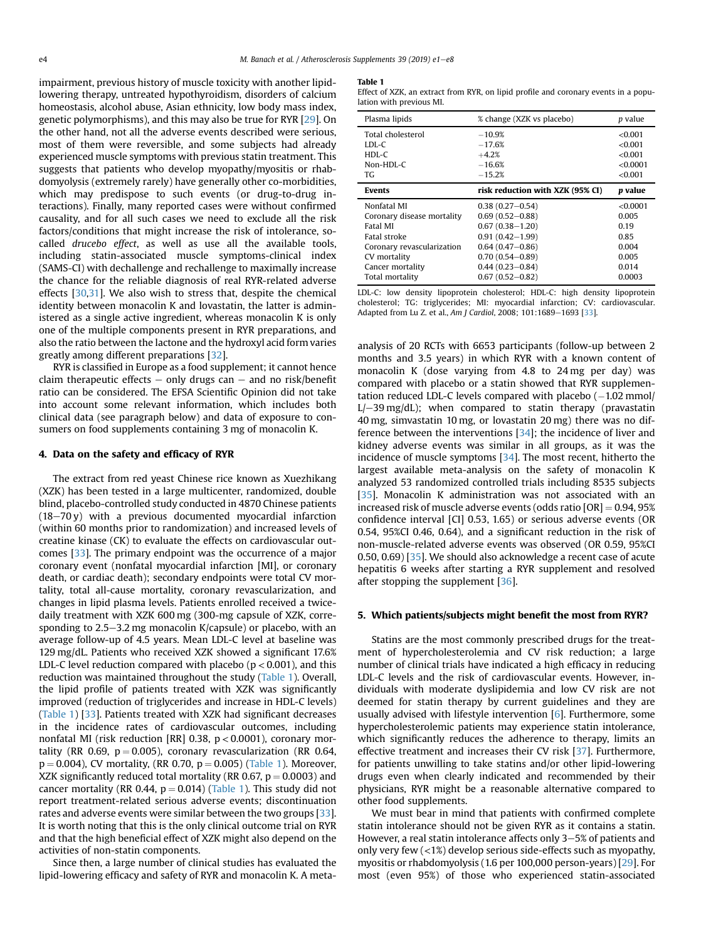impairment, previous history of muscle toxicity with another lipidlowering therapy, untreated hypothyroidism, disorders of calcium homeostasis, alcohol abuse, Asian ethnicity, low body mass index, genetic polymorphisms), and this may also be true for RYR [[29](#page-7-0)]. On the other hand, not all the adverse events described were serious, most of them were reversible, and some subjects had already experienced muscle symptoms with previous statin treatment. This suggests that patients who develop myopathy/myositis or rhabdomyolysis (extremely rarely) have generally other co-morbidities, which may predispose to such events (or drug-to-drug interactions). Finally, many reported cases were without confirmed causality, and for all such cases we need to exclude all the risk factors/conditions that might increase the risk of intolerance, socalled drucebo effect, as well as use all the available tools, including statin-associated muscle symptoms-clinical index (SAMS-CI) with dechallenge and rechallenge to maximally increase the chance for the reliable diagnosis of real RYR-related adverse effects [[30](#page-7-0),[31](#page-7-0)]. We also wish to stress that, despite the chemical identity between monacolin K and lovastatin, the latter is administered as a single active ingredient, whereas monacolin K is only one of the multiple components present in RYR preparations, and also the ratio between the lactone and the hydroxyl acid form varies greatly among different preparations [\[32\]](#page-7-0).

RYR is classified in Europe as a food supplement; it cannot hence claim therapeutic effects  $-$  only drugs can  $-$  and no risk/benefit ratio can be considered. The EFSA Scientific Opinion did not take into account some relevant information, which includes both clinical data (see paragraph below) and data of exposure to consumers on food supplements containing 3 mg of monacolin K.

## 4. Data on the safety and efficacy of RYR

The extract from red yeast Chinese rice known as Xuezhikang (XZK) has been tested in a large multicenter, randomized, double blind, placebo-controlled study conducted in 4870 Chinese patients  $(18-70 \text{ y})$  with a previous documented myocardial infarction (within 60 months prior to randomization) and increased levels of creatine kinase (CK) to evaluate the effects on cardiovascular outcomes [[33](#page-7-0)]. The primary endpoint was the occurrence of a major coronary event (nonfatal myocardial infarction [MI], or coronary death, or cardiac death); secondary endpoints were total CV mortality, total all-cause mortality, coronary revascularization, and changes in lipid plasma levels. Patients enrolled received a twicedaily treatment with XZK 600 mg (300-mg capsule of XZK, corresponding to  $2.5-3.2$  mg monacolin K/capsule) or placebo, with an average follow-up of 4.5 years. Mean LDL-C level at baseline was 129 mg/dL. Patients who received XZK showed a significant 17.6% LDL-C level reduction compared with placebo ( $p < 0.001$ ), and this reduction was maintained throughout the study (Table 1). Overall, the lipid profile of patients treated with XZK was significantly improved (reduction of triglycerides and increase in HDL-C levels) (Table 1) [[33\]](#page-7-0). Patients treated with XZK had significant decreases in the incidence rates of cardiovascular outcomes, including nonfatal MI (risk reduction [RR] 0.38,  $p < 0.0001$ ), coronary mortality (RR 0.69,  $p = 0.005$ ), coronary revascularization (RR 0.64,  $p = 0.004$ ), CV mortality, (RR 0.70,  $p = 0.005$ ) (Table 1). Moreover, XZK significantly reduced total mortality (RR 0.67,  $p = 0.0003$ ) and cancer mortality (RR 0.44,  $p = 0.014$ ) (Table 1). This study did not report treatment-related serious adverse events; discontinuation rates and adverse events were similar between the two groups [[33](#page-7-0)]. It is worth noting that this is the only clinical outcome trial on RYR and that the high beneficial effect of XZK might also depend on the activities of non-statin components.

Since then, a large number of clinical studies has evaluated the lipid-lowering efficacy and safety of RYR and monacolin K. A meta-

#### Table 1

Effect of XZK, an extract from RYR, on lipid profile and coronary events in a population with previous MI.

| Plasma lipids              | % change (XZK vs placebo)        | p value  |
|----------------------------|----------------------------------|----------|
| Total cholesterol          | $-10.9%$                         | < 0.001  |
| LDL-C                      | $-17.6%$                         | < 0.001  |
| $HDL-C$                    | $+4.2%$                          | < 0.001  |
| Non-HDL-C                  | $-16.6%$                         | < 0.0001 |
| TG.                        | $-15.2%$                         | < 0.001  |
| <b>Events</b>              | risk reduction with XZK (95% CI) | p value  |
|                            |                                  |          |
| Nonfatal MI                | $0.38(0.27 - 0.54)$              | < 0.0001 |
| Coronary disease mortality | $0.69(0.52 - 0.88)$              | 0.005    |
| Fatal MI                   | $0.67(0.38 - 1.20)$              | 0.19     |
| Fatal stroke               | $0.91(0.42 - 1.99)$              | 0.85     |
| Coronary revascularization | $0.64(0.47 - 0.86)$              | 0.004    |
| CV mortality               | $0.70(0.54 - 0.89)$              | 0.005    |
| Cancer mortality           | $0.44(0.23 - 0.84)$              | 0.014    |

LDL-C: low density lipoprotein cholesterol; HDL-C: high density lipoprotein cholesterol; TG: triglycerides; MI: myocardial infarction; CV: cardiovascular. Adapted from Lu Z. et al., Am J Cardiol, 2008; 101:1689-1693 [\[33\]](#page-7-0).

analysis of 20 RCTs with 6653 participants (follow-up between 2 months and 3.5 years) in which RYR with a known content of monacolin K (dose varying from 4.8 to 24 mg per day) was compared with placebo or a statin showed that RYR supplemen $t$ ation reduced LDL-C levels compared with placebo  $(-1.02 \text{ mmol})$  $L$  –39 mg/dL); when compared to statin therapy (pravastatin 40 mg, simvastatin 10 mg, or lovastatin 20 mg) there was no difference between the interventions [\[34\]](#page-7-0); the incidence of liver and kidney adverse events was similar in all groups, as it was the incidence of muscle symptoms [\[34\]](#page-7-0). The most recent, hitherto the largest available meta-analysis on the safety of monacolin K analyzed 53 randomized controlled trials including 8535 subjects [[35](#page-7-0)]. Monacolin K administration was not associated with an increased risk of muscle adverse events (odds ratio  $[OR] = 0.94, 95\%$ confidence interval [CI] 0.53, 1.65) or serious adverse events (OR 0.54, 95%CI 0.46, 0.64), and a significant reduction in the risk of non-muscle-related adverse events was observed (OR 0.59, 95%CI 0.50, 0.69) [[35](#page-7-0)]. We should also acknowledge a recent case of acute hepatitis 6 weeks after starting a RYR supplement and resolved after stopping the supplement [[36](#page-7-0)].

## 5. Which patients/subjects might benefit the most from RYR?

Statins are the most commonly prescribed drugs for the treatment of hypercholesterolemia and CV risk reduction; a large number of clinical trials have indicated a high efficacy in reducing LDL-C levels and the risk of cardiovascular events. However, individuals with moderate dyslipidemia and low CV risk are not deemed for statin therapy by current guidelines and they are usually advised with lifestyle intervention [[6\]](#page-6-0). Furthermore, some hypercholesterolemic patients may experience statin intolerance, which significantly reduces the adherence to therapy, limits an effective treatment and increases their CV risk [\[37](#page-7-0)]. Furthermore, for patients unwilling to take statins and/or other lipid-lowering drugs even when clearly indicated and recommended by their physicians, RYR might be a reasonable alternative compared to other food supplements.

We must bear in mind that patients with confirmed complete statin intolerance should not be given RYR as it contains a statin. However, a real statin intolerance affects only  $3-5%$  of patients and only very few  $\left($  <1%) develop serious side-effects such as myopathy, myositis or rhabdomyolysis (1.6 per 100,000 person-years) [[29](#page-7-0)]. For most (even 95%) of those who experienced statin-associated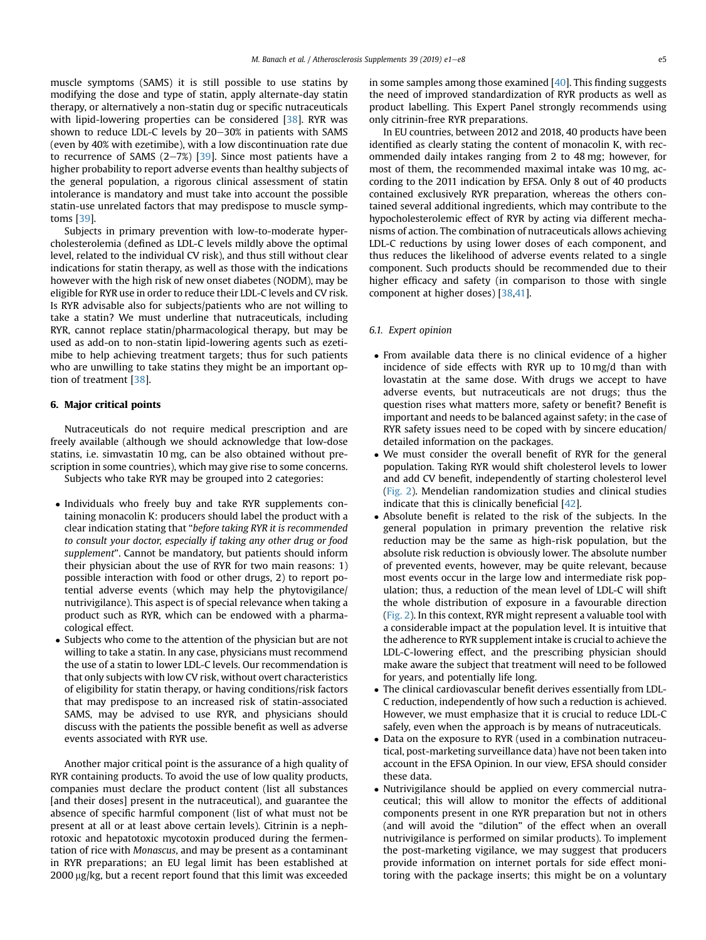muscle symptoms (SAMS) it is still possible to use statins by modifying the dose and type of statin, apply alternate-day statin therapy, or alternatively a non-statin dug or specific nutraceuticals with lipid-lowering properties can be considered [[38](#page-7-0)]. RYR was shown to reduce LDL-C levels by  $20-30\%$  in patients with SAMS (even by 40% with ezetimibe), with a low discontinuation rate due to recurrence of SAMS  $(2-7%)$  [[39](#page-7-0)]. Since most patients have a higher probability to report adverse events than healthy subjects of the general population, a rigorous clinical assessment of statin intolerance is mandatory and must take into account the possible statin-use unrelated factors that may predispose to muscle symptoms [[39](#page-7-0)].

Subjects in primary prevention with low-to-moderate hypercholesterolemia (defined as LDL-C levels mildly above the optimal level, related to the individual CV risk), and thus still without clear indications for statin therapy, as well as those with the indications however with the high risk of new onset diabetes (NODM), may be eligible for RYR use in order to reduce their LDL-C levels and CV risk. Is RYR advisable also for subjects/patients who are not willing to take a statin? We must underline that nutraceuticals, including RYR, cannot replace statin/pharmacological therapy, but may be used as add-on to non-statin lipid-lowering agents such as ezetimibe to help achieving treatment targets; thus for such patients who are unwilling to take statins they might be an important option of treatment [\[38\]](#page-7-0).

# 6. Major critical points

Nutraceuticals do not require medical prescription and are freely available (although we should acknowledge that low-dose statins, i.e. simvastatin 10 mg, can be also obtained without prescription in some countries), which may give rise to some concerns. Subjects who take RYR may be grouped into 2 categories:

- Individuals who freely buy and take RYR supplements containing monacolin K: producers should label the product with a clear indication stating that "before taking RYR it is recommended to consult your doctor, especially if taking any other drug or food supplement". Cannot be mandatory, but patients should inform their physician about the use of RYR for two main reasons: 1) possible interaction with food or other drugs, 2) to report potential adverse events (which may help the phytovigilance/ nutrivigilance). This aspect is of special relevance when taking a product such as RYR, which can be endowed with a pharmacological effect.
- Subjects who come to the attention of the physician but are not willing to take a statin. In any case, physicians must recommend the use of a statin to lower LDL-C levels. Our recommendation is that only subjects with low CV risk, without overt characteristics of eligibility for statin therapy, or having conditions/risk factors that may predispose to an increased risk of statin-associated SAMS, may be advised to use RYR, and physicians should discuss with the patients the possible benefit as well as adverse events associated with RYR use.

Another major critical point is the assurance of a high quality of RYR containing products. To avoid the use of low quality products, companies must declare the product content (list all substances [and their doses] present in the nutraceutical), and guarantee the absence of specific harmful component (list of what must not be present at all or at least above certain levels). Citrinin is a nephrotoxic and hepatotoxic mycotoxin produced during the fermentation of rice with Monascus, and may be present as a contaminant in RYR preparations; an EU legal limit has been established at  $2000 \mu g/kg$ , but a recent report found that this limit was exceeded

in some samples among those examined [[40](#page-7-0)]. This finding suggests the need of improved standardization of RYR products as well as product labelling. This Expert Panel strongly recommends using only citrinin-free RYR preparations.

In EU countries, between 2012 and 2018, 40 products have been identified as clearly stating the content of monacolin K, with recommended daily intakes ranging from 2 to 48 mg; however, for most of them, the recommended maximal intake was 10 mg, according to the 2011 indication by EFSA. Only 8 out of 40 products contained exclusively RYR preparation, whereas the others contained several additional ingredients, which may contribute to the hypocholesterolemic effect of RYR by acting via different mechanisms of action. The combination of nutraceuticals allows achieving LDL-C reductions by using lower doses of each component, and thus reduces the likelihood of adverse events related to a single component. Such products should be recommended due to their higher efficacy and safety (in comparison to those with single component at higher doses) [\[38,41\]](#page-7-0).

#### 6.1. Expert opinion

- From available data there is no clinical evidence of a higher incidence of side effects with RYR up to 10 mg/d than with lovastatin at the same dose. With drugs we accept to have adverse events, but nutraceuticals are not drugs; thus the question rises what matters more, safety or benefit? Benefit is important and needs to be balanced against safety; in the case of RYR safety issues need to be coped with by sincere education/ detailed information on the packages.
- We must consider the overall benefit of RYR for the general population. Taking RYR would shift cholesterol levels to lower and add CV benefit, independently of starting cholesterol level [\(Fig. 2](#page-5-0)). Mendelian randomization studies and clinical studies indicate that this is clinically beneficial [[42](#page-7-0)].
- Absolute benefit is related to the risk of the subjects. In the general population in primary prevention the relative risk reduction may be the same as high-risk population, but the absolute risk reduction is obviously lower. The absolute number of prevented events, however, may be quite relevant, because most events occur in the large low and intermediate risk population; thus, a reduction of the mean level of LDL-C will shift the whole distribution of exposure in a favourable direction [\(Fig. 2\)](#page-5-0). In this context, RYR might represent a valuable tool with a considerable impact at the population level. It is intuitive that the adherence to RYR supplement intake is crucial to achieve the LDL-C-lowering effect, and the prescribing physician should make aware the subject that treatment will need to be followed for years, and potentially life long.
- The clinical cardiovascular benefit derives essentially from LDL-C reduction, independently of how such a reduction is achieved. However, we must emphasize that it is crucial to reduce LDL-C safely, even when the approach is by means of nutraceuticals.
- Data on the exposure to RYR (used in a combination nutraceutical, post-marketing surveillance data) have not been taken into account in the EFSA Opinion. In our view, EFSA should consider these data.
- Nutrivigilance should be applied on every commercial nutraceutical; this will allow to monitor the effects of additional components present in one RYR preparation but not in others (and will avoid the "dilution" of the effect when an overall nutrivigilance is performed on similar products). To implement the post-marketing vigilance, we may suggest that producers provide information on internet portals for side effect monitoring with the package inserts; this might be on a voluntary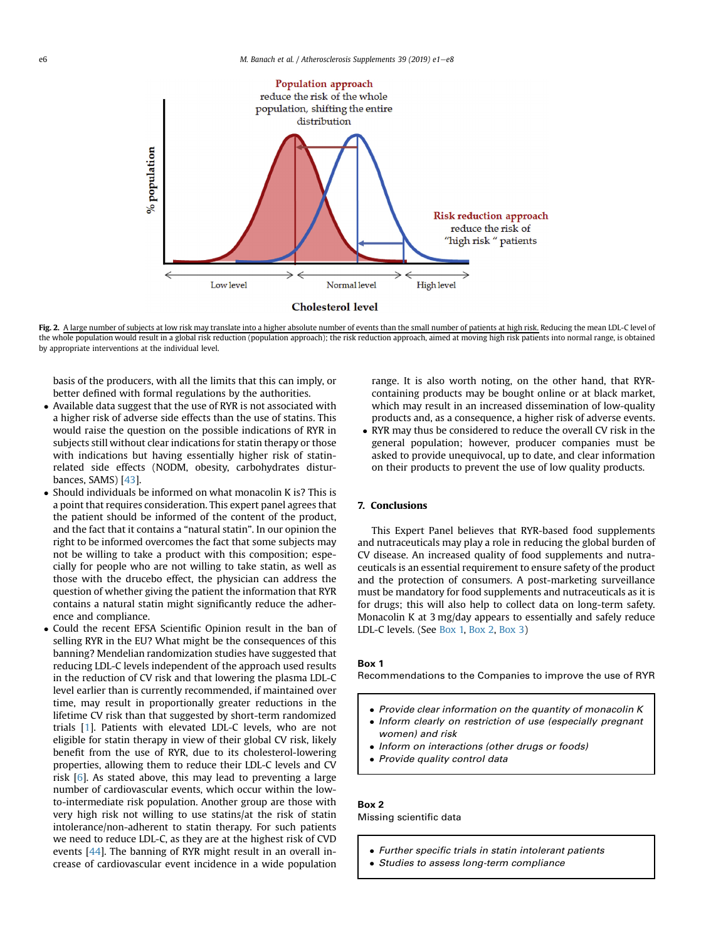<span id="page-5-0"></span>

Fig. 2. A large number of subjects at low risk may translate into a higher absolute number of events than the small number of patients at high risk. Reducing the mean LDL-C level of the whole population would result in a global risk reduction (population approach); the risk reduction approach, aimed at moving high risk patients into normal range, is obtained by appropriate interventions at the individual level.

basis of the producers, with all the limits that this can imply, or better defined with formal regulations by the authorities.

- Available data suggest that the use of RYR is not associated with a higher risk of adverse side effects than the use of statins. This would raise the question on the possible indications of RYR in subjects still without clear indications for statin therapy or those with indications but having essentially higher risk of statinrelated side effects (NODM, obesity, carbohydrates disturbances, SAMS) [[43](#page-7-0)].
- Should individuals be informed on what monacolin K is? This is a point that requires consideration. This expert panel agrees that the patient should be informed of the content of the product, and the fact that it contains a "natural statin". In our opinion the right to be informed overcomes the fact that some subjects may not be willing to take a product with this composition; especially for people who are not willing to take statin, as well as those with the drucebo effect, the physician can address the question of whether giving the patient the information that RYR contains a natural statin might significantly reduce the adherence and compliance.
- Could the recent EFSA Scientific Opinion result in the ban of selling RYR in the EU? What might be the consequences of this banning? Mendelian randomization studies have suggested that reducing LDL-C levels independent of the approach used results in the reduction of CV risk and that lowering the plasma LDL-C level earlier than is currently recommended, if maintained over time, may result in proportionally greater reductions in the lifetime CV risk than that suggested by short-term randomized trials [\[1](#page-6-0)]. Patients with elevated LDL-C levels, who are not eligible for statin therapy in view of their global CV risk, likely benefit from the use of RYR, due to its cholesterol-lowering properties, allowing them to reduce their LDL-C levels and CV risk [\[6\]](#page-6-0). As stated above, this may lead to preventing a large number of cardiovascular events, which occur within the lowto-intermediate risk population. Another group are those with very high risk not willing to use statins/at the risk of statin intolerance/non-adherent to statin therapy. For such patients we need to reduce LDL-C, as they are at the highest risk of CVD events [\[44\]](#page-7-0). The banning of RYR might result in an overall increase of cardiovascular event incidence in a wide population

range. It is also worth noting, on the other hand, that RYRcontaining products may be bought online or at black market, which may result in an increased dissemination of low-quality products and, as a consequence, a higher risk of adverse events.

 RYR may thus be considered to reduce the overall CV risk in the general population; however, producer companies must be asked to provide unequivocal, up to date, and clear information on their products to prevent the use of low quality products.

# 7. Conclusions

This Expert Panel believes that RYR-based food supplements and nutraceuticals may play a role in reducing the global burden of CV disease. An increased quality of food supplements and nutraceuticals is an essential requirement to ensure safety of the product and the protection of consumers. A post-marketing surveillance must be mandatory for food supplements and nutraceuticals as it is for drugs; this will also help to collect data on long-term safety. Monacolin K at 3 mg/day appears to essentially and safely reduce LDL-C levels. (See Box 1, Box 2, Box 3)

#### Box 1

Recommendations to the Companies to improve the use of RYR

- Provide clear information on the quantity of monacolin K
- Inform clearly on restriction of use (especially pregnant women) and risk
- Inform on interactions (other drugs or foods)
- Provide quality control data

# Box 2

Missing scientific data

- Further specific trials in statin intolerant patients
- Studies to assess long-term compliance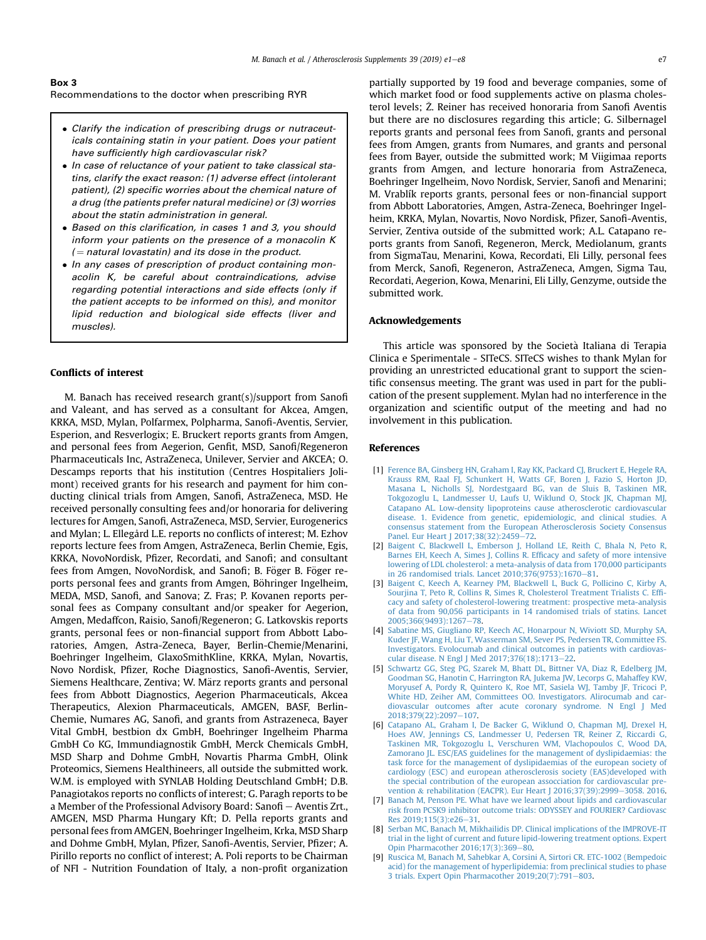# <span id="page-6-0"></span>Box 3

Recommendations to the doctor when prescribing RYR

- Clarify the indication of prescribing drugs or nutraceuticals containing statin in your patient. Does your patient have sufficiently high cardiovascular risk?
- In case of reluctance of your patient to take classical statins, clarify the exact reason: (1) adverse effect (intolerant patient), (2) specific worries about the chemical nature of a drug (the patients prefer natural medicine) or (3) worries about the statin administration in general.
- Based on this clarification, in cases 1 and 3, you should inform your patients on the presence of a monacolin K  $($  = natural lovastatin) and its dose in the product.
- In any cases of prescription of product containing monacolin K, be careful about contraindications, advise regarding potential interactions and side effects (only if the patient accepts to be informed on this), and monitor lipid reduction and biological side effects (liver and muscles).

## Conflicts of interest

M. Banach has received research grant(s)/support from Sanofi and Valeant, and has served as a consultant for Akcea, Amgen, KRKA, MSD, Mylan, Polfarmex, Polpharma, Sanofi-Aventis, Servier, Esperion, and Resverlogix; E. Bruckert reports grants from Amgen, and personal fees from Aegerion, Genfit, MSD, Sanofi/Regeneron Pharmaceuticals Inc, AstraZeneca, Unilever, Servier and AKCEA; O. Descamps reports that his institution (Centres Hospitaliers Jolimont) received grants for his research and payment for him conducting clinical trials from Amgen, Sanofi, AstraZeneca, MSD. He received personally consulting fees and/or honoraria for delivering lectures for Amgen, Sanofi, AstraZeneca, MSD, Servier, Eurogenerics and Mylan; L. Ellegård L.E. reports no conflicts of interest; M. Ezhov reports lecture fees from Amgen, AstraZeneca, Berlin Chemie, Egis, KRKA, NovoNordisk, Pfizer, Recordati, and Sanofi; and consultant fees from Amgen, NovoNordisk, and Sanofi; B. Föger B. Föger reports personal fees and grants from Amgen, Böhringer Ingelheim, MEDA, MSD, Sanofi, and Sanova; Z. Fras; P. Kovanen reports personal fees as Company consultant and/or speaker for Aegerion, Amgen, Medaffcon, Raisio, Sanofi/Regeneron; G. Latkovskis reports grants, personal fees or non-financial support from Abbott Laboratories, Amgen, Astra-Zeneca, Bayer, Berlin-Chemie/Menarini, Boehringer Ingelheim, GlaxoSmithKline, KRKA, Mylan, Novartis, Novo Nordisk, Pfizer, Roche Diagnostics, Sanofi-Aventis, Servier, Siemens Healthcare, Zentiva; W. März reports grants and personal fees from Abbott Diagnostics, Aegerion Pharmaceuticals, Akcea Therapeutics, Alexion Pharmaceuticals, AMGEN, BASF, Berlin-Chemie, Numares AG, Sanofi, and grants from Astrazeneca, Bayer Vital GmbH, bestbion dx GmbH, Boehringer Ingelheim Pharma GmbH Co KG, Immundiagnostik GmbH, Merck Chemicals GmbH, MSD Sharp and Dohme GmbH, Novartis Pharma GmbH, Olink Proteomics, Siemens Healthineers, all outside the submitted work. W.M. is employed with SYNLAB Holding Deutschland GmbH; D.B. Panagiotakos reports no conflicts of interest; G. Paragh reports to be a Member of the Professional Advisory Board: Sanofi - Aventis Zrt., AMGEN, MSD Pharma Hungary Kft; D. Pella reports grants and personal fees from AMGEN, Boehringer Ingelheim, Krka, MSD Sharp and Dohme GmbH, Mylan, Pfizer, Sanofi-Aventis, Servier, Pfizer; A. Pirillo reports no conflict of interest; A. Poli reports to be Chairman of NFI - Nutrition Foundation of Italy, a non-profit organization partially supported by 19 food and beverage companies, some of which market food or food supplements active on plasma cholesterol levels; Ž. Reiner has received honoraria from Sanofi Aventis but there are no disclosures regarding this article; G. Silbernagel reports grants and personal fees from Sanofi, grants and personal fees from Amgen, grants from Numares, and grants and personal fees from Bayer, outside the submitted work; M Viigimaa reports grants from Amgen, and lecture honoraria from AstraZeneca, Boehringer Ingelheim, Novo Nordisk, Servier, Sanofi and Menarini; M. Vrablík reports grants, personal fees or non-financial support from Abbott Laboratories, Amgen, Astra-Zeneca, Boehringer Ingelheim, KRKA, Mylan, Novartis, Novo Nordisk, Pfizer, Sanofi-Aventis, Servier, Zentiva outside of the submitted work; A.L. Catapano reports grants from Sanofi, Regeneron, Merck, Mediolanum, grants from SigmaTau, Menarini, Kowa, Recordati, Eli Lilly, personal fees from Merck, Sanofi, Regeneron, AstraZeneca, Amgen, Sigma Tau, Recordati, Aegerion, Kowa, Menarini, Eli Lilly, Genzyme, outside the submitted work.

#### Acknowledgements

This article was sponsored by the Societa Italiana di Terapia Clinica e Sperimentale - SITeCS. SITeCS wishes to thank Mylan for providing an unrestricted educational grant to support the scientific consensus meeting. The grant was used in part for the publication of the present supplement. Mylan had no interference in the organization and scientific output of the meeting and had no involvement in this publication.

### References

- [1] [Ference BA, Ginsberg HN, Graham I, Ray KK, Packard CJ, Bruckert E, Hegele RA,](http://refhub.elsevier.com/S1567-5688(19)30046-7/sref1) [Krauss RM, Raal FJ, Schunkert H, Watts GF, Boren J, Fazio S, Horton JD,](http://refhub.elsevier.com/S1567-5688(19)30046-7/sref1) [Masana L, Nicholls SJ, Nordestgaard BG, van de Sluis B, Taskinen MR,](http://refhub.elsevier.com/S1567-5688(19)30046-7/sref1) [Tokgozoglu L, Landmesser U, Laufs U, Wiklund O, Stock JK, Chapman MJ,](http://refhub.elsevier.com/S1567-5688(19)30046-7/sref1) [Catapano AL. Low-density lipoproteins cause atherosclerotic cardiovascular](http://refhub.elsevier.com/S1567-5688(19)30046-7/sref1) [disease. 1. Evidence from genetic, epidemiologic, and clinical studies. A](http://refhub.elsevier.com/S1567-5688(19)30046-7/sref1) [consensus statement from the European Atherosclerosis Society Consensus](http://refhub.elsevier.com/S1567-5688(19)30046-7/sref1) [Panel. Eur Heart J 2017;38\(32\):2459](http://refhub.elsevier.com/S1567-5688(19)30046-7/sref1)-[72.](http://refhub.elsevier.com/S1567-5688(19)30046-7/sref1)
- [2] [Baigent C, Blackwell L, Emberson J, Holland LE, Reith C, Bhala N, Peto R,](http://refhub.elsevier.com/S1567-5688(19)30046-7/sref2) Barnes EH, Keech A, Simes J, Collins R, Efficacy and safety of more intensive [lowering of LDL cholesterol: a meta-analysis of data from 170,000 participants](http://refhub.elsevier.com/S1567-5688(19)30046-7/sref2) in 26 randomised trials. Lancet  $2010:376(9753):1670-81$  $2010:376(9753):1670-81$ .
- [3] [Baigent C, Keech A, Kearney PM, Blackwell L, Buck G, Pollicino C, Kirby A,](http://refhub.elsevier.com/S1567-5688(19)30046-7/sref3) [Sourjina T, Peto R, Collins R, Simes R, Cholesterol Treatment Trialists C. Ef](http://refhub.elsevier.com/S1567-5688(19)30046-7/sref3)fi[cacy and safety of cholesterol-lowering treatment: prospective meta-analysis](http://refhub.elsevier.com/S1567-5688(19)30046-7/sref3) [of data from 90,056 participants in 14 randomised trials of statins. Lancet](http://refhub.elsevier.com/S1567-5688(19)30046-7/sref3) 2005:366(9493):1267-[78](http://refhub.elsevier.com/S1567-5688(19)30046-7/sref3).
- [4] [Sabatine MS, Giugliano RP, Keech AC, Honarpour N, Wiviott SD, Murphy SA,](http://refhub.elsevier.com/S1567-5688(19)30046-7/sref4) [Kuder JF, Wang H, Liu T, Wasserman SM, Sever PS, Pedersen TR, Committee FS.](http://refhub.elsevier.com/S1567-5688(19)30046-7/sref4) [Investigators. Evolocumab and clinical outcomes in patients with cardiovas](http://refhub.elsevier.com/S1567-5688(19)30046-7/sref4)[cular disease. N Engl J Med 2017;376\(18\):1713](http://refhub.elsevier.com/S1567-5688(19)30046-7/sref4)-[22](http://refhub.elsevier.com/S1567-5688(19)30046-7/sref4).
- [5] [Schwartz GG, Steg PG, Szarek M, Bhatt DL, Bittner VA, Diaz R, Edelberg JM,](http://refhub.elsevier.com/S1567-5688(19)30046-7/sref5) [Goodman SG, Hanotin C, Harrington RA, Jukema JW, Lecorps G, Mahaffey KW,](http://refhub.elsevier.com/S1567-5688(19)30046-7/sref5) [Moryusef A, Pordy R, Quintero K, Roe MT, Sasiela WJ, Tamby JF, Tricoci P,](http://refhub.elsevier.com/S1567-5688(19)30046-7/sref5) [White HD, Zeiher AM, Committees OO. Investigators. Alirocumab and car](http://refhub.elsevier.com/S1567-5688(19)30046-7/sref5)[diovascular outcomes after acute coronary syndrome. N Engl J Med](http://refhub.elsevier.com/S1567-5688(19)30046-7/sref5) [2018;379\(22\):2097](http://refhub.elsevier.com/S1567-5688(19)30046-7/sref5)-[107.](http://refhub.elsevier.com/S1567-5688(19)30046-7/sref5)
- [6] [Catapano AL, Graham I, De Backer G, Wiklund O, Chapman MJ, Drexel H,](http://refhub.elsevier.com/S1567-5688(19)30046-7/sref6) [Hoes AW, Jennings CS, Landmesser U, Pedersen TR, Reiner Z, Riccardi G,](http://refhub.elsevier.com/S1567-5688(19)30046-7/sref6) [Taskinen MR, Tokgozoglu L, Verschuren WM, Vlachopoulos C, Wood DA,](http://refhub.elsevier.com/S1567-5688(19)30046-7/sref6) [Zamorano JL. ESC/EAS guidelines for the management of dyslipidaemias: the](http://refhub.elsevier.com/S1567-5688(19)30046-7/sref6) [task force for the management of dyslipidaemias of the european society of](http://refhub.elsevier.com/S1567-5688(19)30046-7/sref6) [cardiology \(ESC\) and european atherosclerosis society \(EAS\)developed with](http://refhub.elsevier.com/S1567-5688(19)30046-7/sref6) [the special contribution of the european assocciation for cardiovascular pre](http://refhub.elsevier.com/S1567-5688(19)30046-7/sref6)[vention](http://refhub.elsevier.com/S1567-5688(19)30046-7/sref6) & rehabilitation (EACPR). Eur Heart J 2016:37(39):2999-[3058. 2016](http://refhub.elsevier.com/S1567-5688(19)30046-7/sref6).
- [7] [Banach M, Penson PE. What have we learned about lipids and cardiovascular](http://refhub.elsevier.com/S1567-5688(19)30046-7/sref7) [risk from PCSK9 inhibitor outcome trials: ODYSSEY and FOURIER? Cardiovasc](http://refhub.elsevier.com/S1567-5688(19)30046-7/sref7) Res 2019:115(3):e26-[31](http://refhub.elsevier.com/S1567-5688(19)30046-7/sref7).
- [8] [Serban MC, Banach M, Mikhailidis DP. Clinical implications of the IMPROVE-IT](http://refhub.elsevier.com/S1567-5688(19)30046-7/sref8) [trial in the light of current and future lipid-lowering treatment options. Expert](http://refhub.elsevier.com/S1567-5688(19)30046-7/sref8) [Opin Pharmacother 2016;17\(3\):369](http://refhub.elsevier.com/S1567-5688(19)30046-7/sref8)-[80.](http://refhub.elsevier.com/S1567-5688(19)30046-7/sref8)
- [9] [Ruscica M, Banach M, Sahebkar A, Corsini A, Sirtori CR. ETC-1002 \(Bempedoic](http://refhub.elsevier.com/S1567-5688(19)30046-7/sref9) [acid\) for the management of hyperlipidemia: from preclinical studies to phase](http://refhub.elsevier.com/S1567-5688(19)30046-7/sref9) [3 trials. Expert Opin Pharmacother 2019;20\(7\):791](http://refhub.elsevier.com/S1567-5688(19)30046-7/sref9)-[803.](http://refhub.elsevier.com/S1567-5688(19)30046-7/sref9)